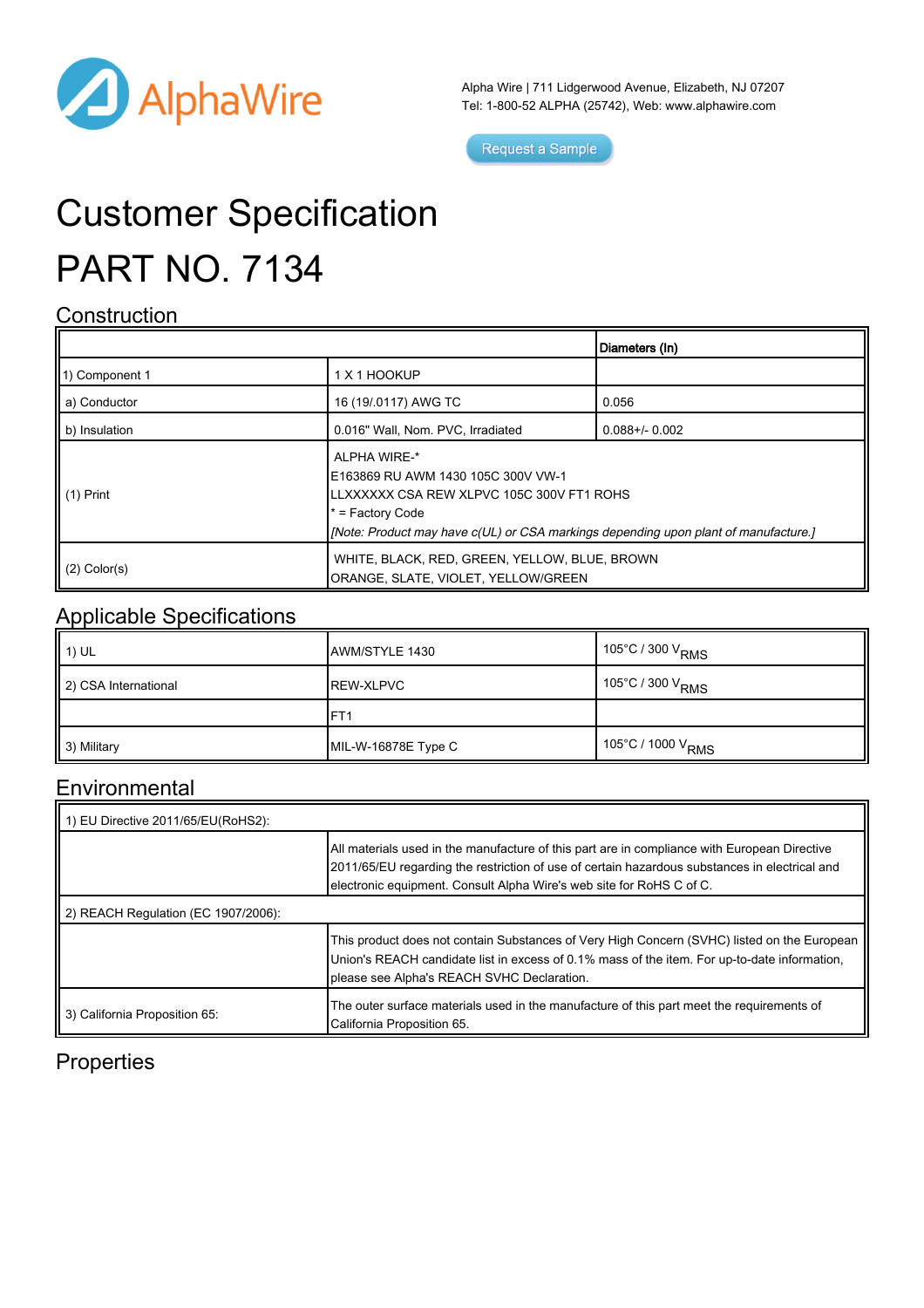

Alpha Wire | 711 Lidgerwood Avenue, Elizabeth, NJ 07207 Tel: 1-800-52 ALPHA (25742), Web: [www.alphawire.com](http://www.alphawire.com)

Request a Sample

# Customer Specification PART NO. 7134

#### **Construction**

|                       |                                                                                                                                                                                                              | Diameters (In)      |
|-----------------------|--------------------------------------------------------------------------------------------------------------------------------------------------------------------------------------------------------------|---------------------|
| 11) Component 1       | 1 X 1 HOOKUP                                                                                                                                                                                                 |                     |
| a) Conductor          | 16 (19/.0117) AWG TC                                                                                                                                                                                         | 0.056               |
| b) Insulation         | 0.016" Wall, Nom. PVC, Irradiated                                                                                                                                                                            | $0.088 + / - 0.002$ |
| $\parallel$ (1) Print | ALPHA WIRE-*<br>IE163869 RU AWM 1430 105C 300V VW-1<br>ILLXXXXXX CSA REW XLPVC 105C 300V FT1 ROHS<br>* = Factory Code<br>[Mote: Product may have c(UL) or CSA markings depending upon plant of manufacture.] |                     |
| $(2)$ Color(s)        | WHITE, BLACK, RED, GREEN, YELLOW, BLUE, BROWN<br>ORANGE, SLATE, VIOLET, YELLOW/GREEN                                                                                                                         |                     |

### Applicable Specifications

| <b>1</b> 1) UL       | AWM/STYLE 1430      | ∣ 105°C / 300 V <sub>RMS</sub>  |
|----------------------|---------------------|---------------------------------|
| 2) CSA International | <b>REW-XLPVC</b>    | $\,$ 105°C / 300 V $_{\rm RMS}$ |
|                      | FT <sub>1</sub>     |                                 |
| 3) Military          | MIL-W-16878E Type C | ∣ 105°C / 1000 V <sub>RMS</sub> |

#### **Environmental**

| 1) EU Directive 2011/65/EU(RoHS2):  |                                                                                                                                                                                                                                                                       |  |
|-------------------------------------|-----------------------------------------------------------------------------------------------------------------------------------------------------------------------------------------------------------------------------------------------------------------------|--|
|                                     | All materials used in the manufacture of this part are in compliance with European Directive<br>2011/65/EU regarding the restriction of use of certain hazardous substances in electrical and<br>electronic equipment. Consult Alpha Wire's web site for RoHS C of C. |  |
| 2) REACH Regulation (EC 1907/2006): |                                                                                                                                                                                                                                                                       |  |
|                                     | This product does not contain Substances of Very High Concern (SVHC) listed on the European<br>Union's REACH candidate list in excess of 0.1% mass of the item. For up-to-date information,<br>please see Alpha's REACH SVHC Declaration.                             |  |
| 3) California Proposition 65:       | The outer surface materials used in the manufacture of this part meet the requirements of<br>California Proposition 65.                                                                                                                                               |  |

#### **Properties**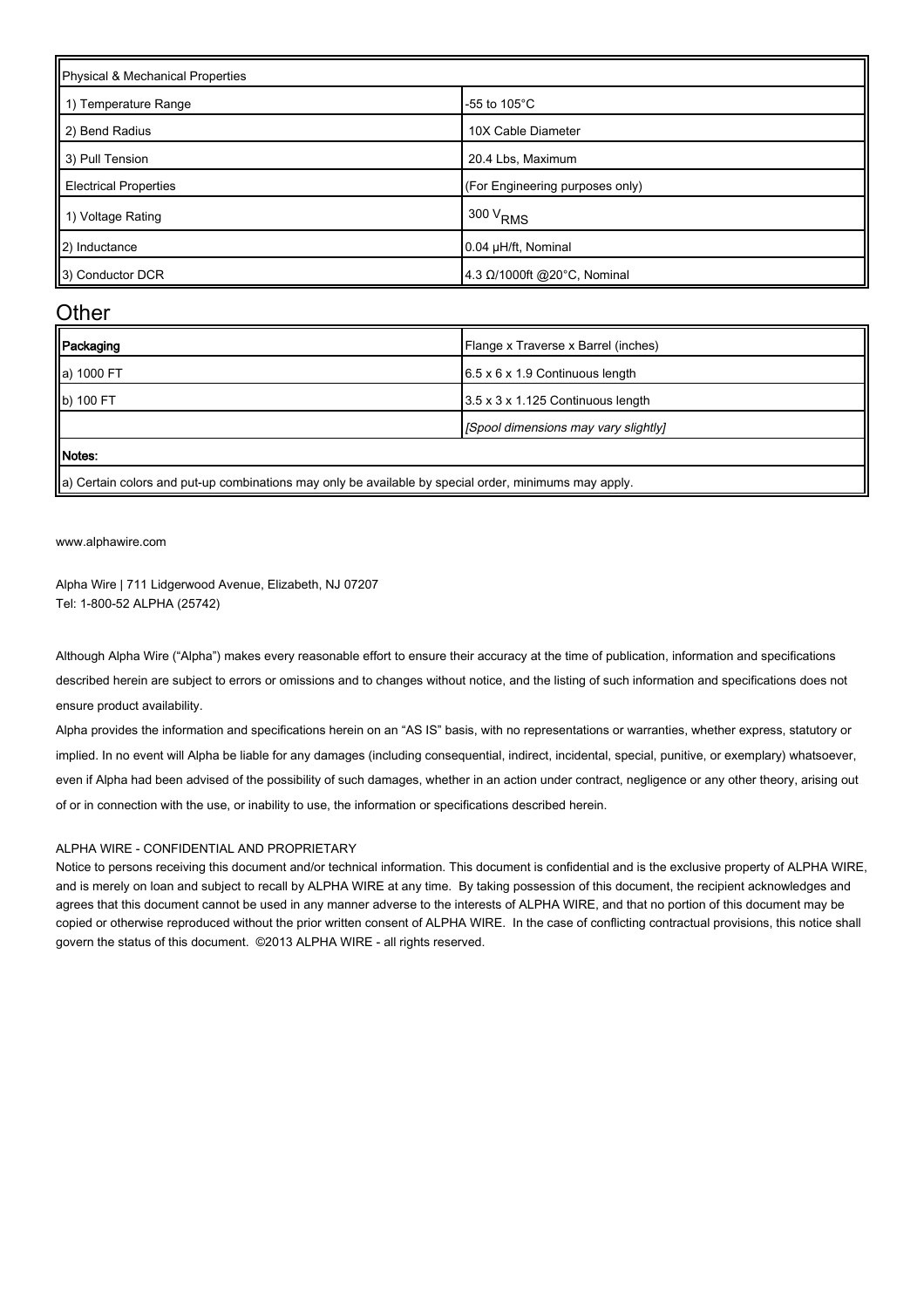| Physical & Mechanical Properties |                                 |  |
|----------------------------------|---------------------------------|--|
| 1) Temperature Range             | -55 to 105 $^{\circ}$ C         |  |
| 2) Bend Radius                   | 10X Cable Diameter              |  |
| 3) Pull Tension                  | 20.4 Lbs, Maximum               |  |
| <b>Electrical Properties</b>     | (For Engineering purposes only) |  |
| 1) Voltage Rating                | $1300 V_{RMS}$                  |  |
| 2) Inductance                    | 0.04 µH/ft, Nominal             |  |
| 3) Conductor DCR                 | 4.3 Ω/1000ft @20°C, Nominal     |  |

#### **Other**

| $6.5 \times 6 \times 1.9$ Continuous length |
|---------------------------------------------|
| 3.5 x 3 x 1.125 Continuous length           |
| [Spool dimensions may vary slightly]        |
|                                             |
|                                             |

 $\parallel$ a) Certain colors and put-up combinations may only be available by special order, minimums may apply.

[www.alphawire.com](http://www.alphawire.com)

Alpha Wire | 711 Lidgerwood Avenue, Elizabeth, NJ 07207 Tel: 1-800-52 ALPHA (25742)

Although Alpha Wire ("Alpha") makes every reasonable effort to ensure their accuracy at the time of publication, information and specifications described herein are subject to errors or omissions and to changes without notice, and the listing of such information and specifications does not ensure product availability.

Alpha provides the information and specifications herein on an "AS IS" basis, with no representations or warranties, whether express, statutory or implied. In no event will Alpha be liable for any damages (including consequential, indirect, incidental, special, punitive, or exemplary) whatsoever, even if Alpha had been advised of the possibility of such damages, whether in an action under contract, negligence or any other theory, arising out of or in connection with the use, or inability to use, the information or specifications described herein.

#### ALPHA WIRE - CONFIDENTIAL AND PROPRIETARY

Notice to persons receiving this document and/or technical information. This document is confidential and is the exclusive property of ALPHA WIRE, and is merely on loan and subject to recall by ALPHA WIRE at any time. By taking possession of this document, the recipient acknowledges and agrees that this document cannot be used in any manner adverse to the interests of ALPHA WIRE, and that no portion of this document may be copied or otherwise reproduced without the prior written consent of ALPHA WIRE. In the case of conflicting contractual provisions, this notice shall govern the status of this document. ©2013 ALPHA WIRE - all rights reserved.